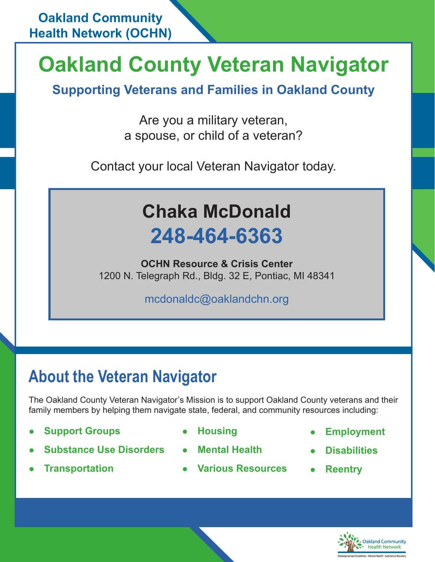# **Oakland County Veteran Navigator**

**Supporting Veterans and Families in Oakland County**

Are you a military veteran, a spouse, or child of a veteran?

Contact your local Veteran Navigator today.

## **Chaka McDonald 248-464-6363**

**OCHN Resource & Crisis Center**  1200 N. Telegraph Rd., Bldg. 32 E, Pontiac, MI 48341

mcdonaldc@oaklandchn.org

### **About the Veteran Navigator**

The Oakland County Veteran Navigator's Mission is to support Oakland County veterans and their family members by helping them navigate state, federal, and community resources including:

- **Support Groups by Alleman Control Control of Housing**
- **Substance Use Disorders Mental Health**
- 
- 
- 
- **Transportation Various Resources Reentry**
- l **Employment**
- l **Disabilities**
-